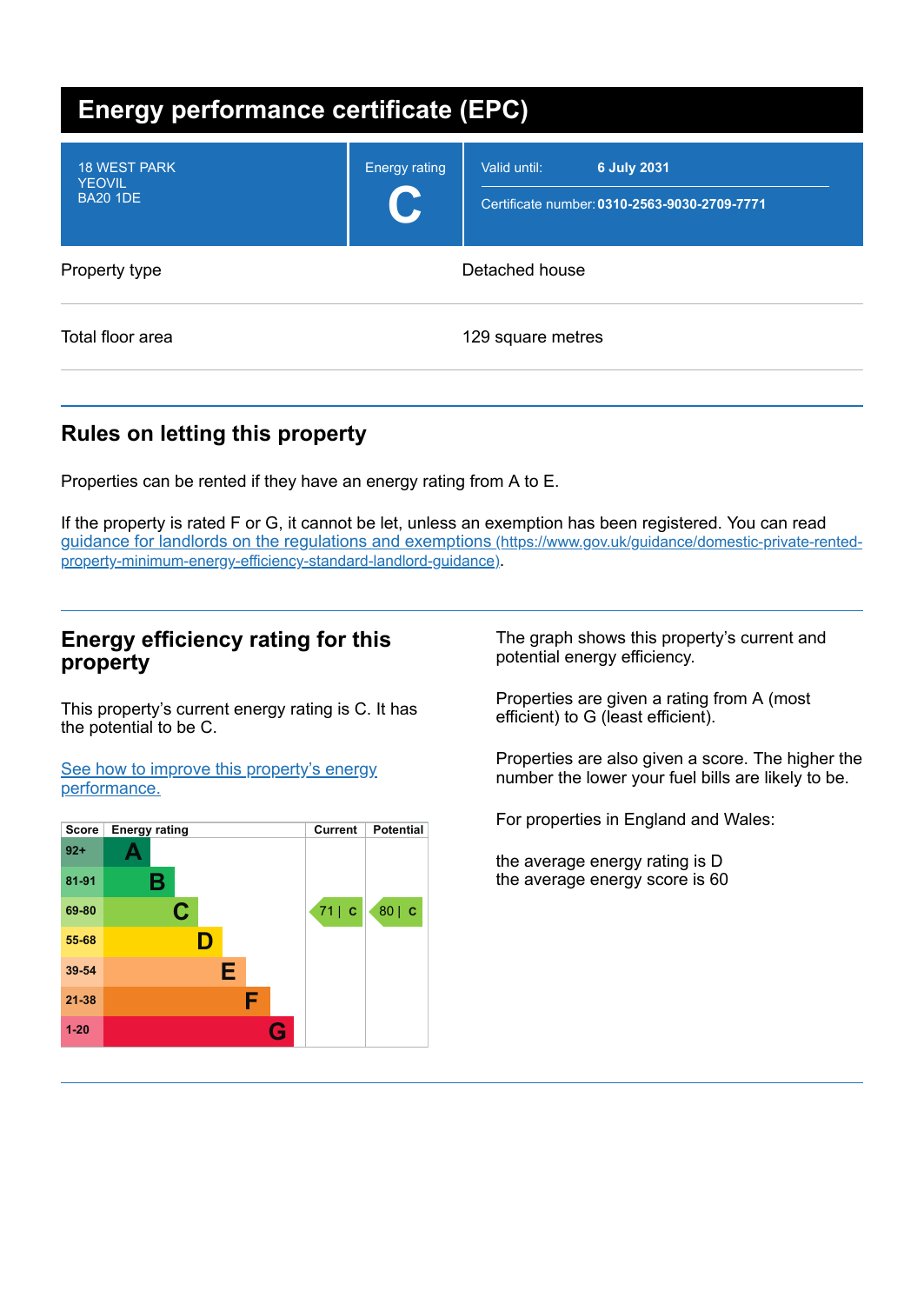| <b>Energy performance certificate (EPC)</b>             |                      |                                                                                    |  |  |  |
|---------------------------------------------------------|----------------------|------------------------------------------------------------------------------------|--|--|--|
| <b>18 WEST PARK</b><br><b>YEOVIL</b><br><b>BA20 1DE</b> | <b>Energy rating</b> | <b>6 July 2031</b><br>Valid until:<br>Certificate number: 0310-2563-9030-2709-7771 |  |  |  |
| Property type                                           | Detached house       |                                                                                    |  |  |  |
| Total floor area                                        |                      | 129 square metres                                                                  |  |  |  |

# **Rules on letting this property**

Properties can be rented if they have an energy rating from A to E.

If the property is rated F or G, it cannot be let, unless an exemption has been registered. You can read guidance for landlords on the regulations and exemptions (https://www.gov.uk/guidance/domestic-private-rented[property-minimum-energy-efficiency-standard-landlord-guidance\)](https://www.gov.uk/guidance/domestic-private-rented-property-minimum-energy-efficiency-standard-landlord-guidance).

### **Energy efficiency rating for this property**

This property's current energy rating is C. It has the potential to be C.

See how to improve this property's energy [performance.](#page-2-0)



The graph shows this property's current and potential energy efficiency.

Properties are given a rating from A (most efficient) to G (least efficient).

Properties are also given a score. The higher the number the lower your fuel bills are likely to be.

For properties in England and Wales:

the average energy rating is D the average energy score is 60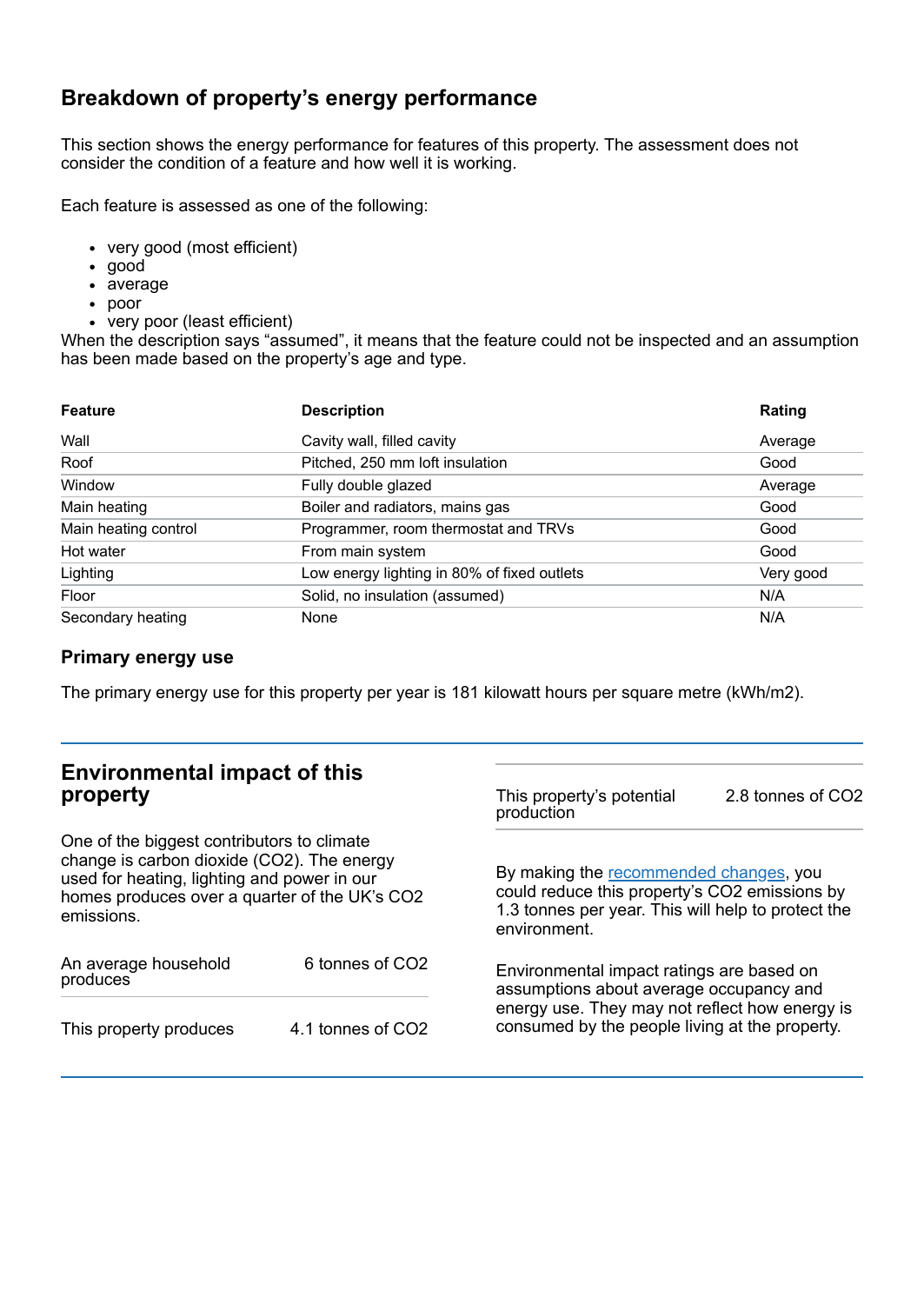## **Breakdown of property's energy performance**

This section shows the energy performance for features of this property. The assessment does not consider the condition of a feature and how well it is working.

Each feature is assessed as one of the following:

- very good (most efficient)
- good
- average
- poor
- very poor (least efficient)

When the description says "assumed", it means that the feature could not be inspected and an assumption has been made based on the property's age and type.

| <b>Feature</b>       | <b>Description</b>                          | Rating    |
|----------------------|---------------------------------------------|-----------|
| Wall                 | Cavity wall, filled cavity                  | Average   |
| Roof                 | Pitched, 250 mm loft insulation             | Good      |
| Window               | Fully double glazed                         | Average   |
| Main heating         | Boiler and radiators, mains gas             | Good      |
| Main heating control | Programmer, room thermostat and TRVs        | Good      |
| Hot water            | From main system                            | Good      |
| Lighting             | Low energy lighting in 80% of fixed outlets | Very good |
| Floor                | Solid, no insulation (assumed)              | N/A       |
| Secondary heating    | None                                        | N/A       |

### **Primary energy use**

The primary energy use for this property per year is 181 kilowatt hours per square metre (kWh/m2).

| <b>Environmental impact of this</b><br>property<br>One of the biggest contributors to climate<br>change is carbon dioxide (CO2). The energy<br>used for heating, lighting and power in our<br>homes produces over a quarter of the UK's CO2<br>emissions. |                             | This property's potential<br>production                                                                                                                                                  | 2.8 tonnes of CO2 |
|-----------------------------------------------------------------------------------------------------------------------------------------------------------------------------------------------------------------------------------------------------------|-----------------------------|------------------------------------------------------------------------------------------------------------------------------------------------------------------------------------------|-------------------|
|                                                                                                                                                                                                                                                           |                             | By making the recommended changes, you<br>could reduce this property's CO2 emissions by<br>1.3 tonnes per year. This will help to protect the<br>environment.                            |                   |
| An average household<br>produces                                                                                                                                                                                                                          | 6 tonnes of CO <sub>2</sub> | Environmental impact ratings are based on<br>assumptions about average occupancy and<br>energy use. They may not reflect how energy is<br>consumed by the people living at the property. |                   |
| This property produces                                                                                                                                                                                                                                    | 4.1 tonnes of CO2           |                                                                                                                                                                                          |                   |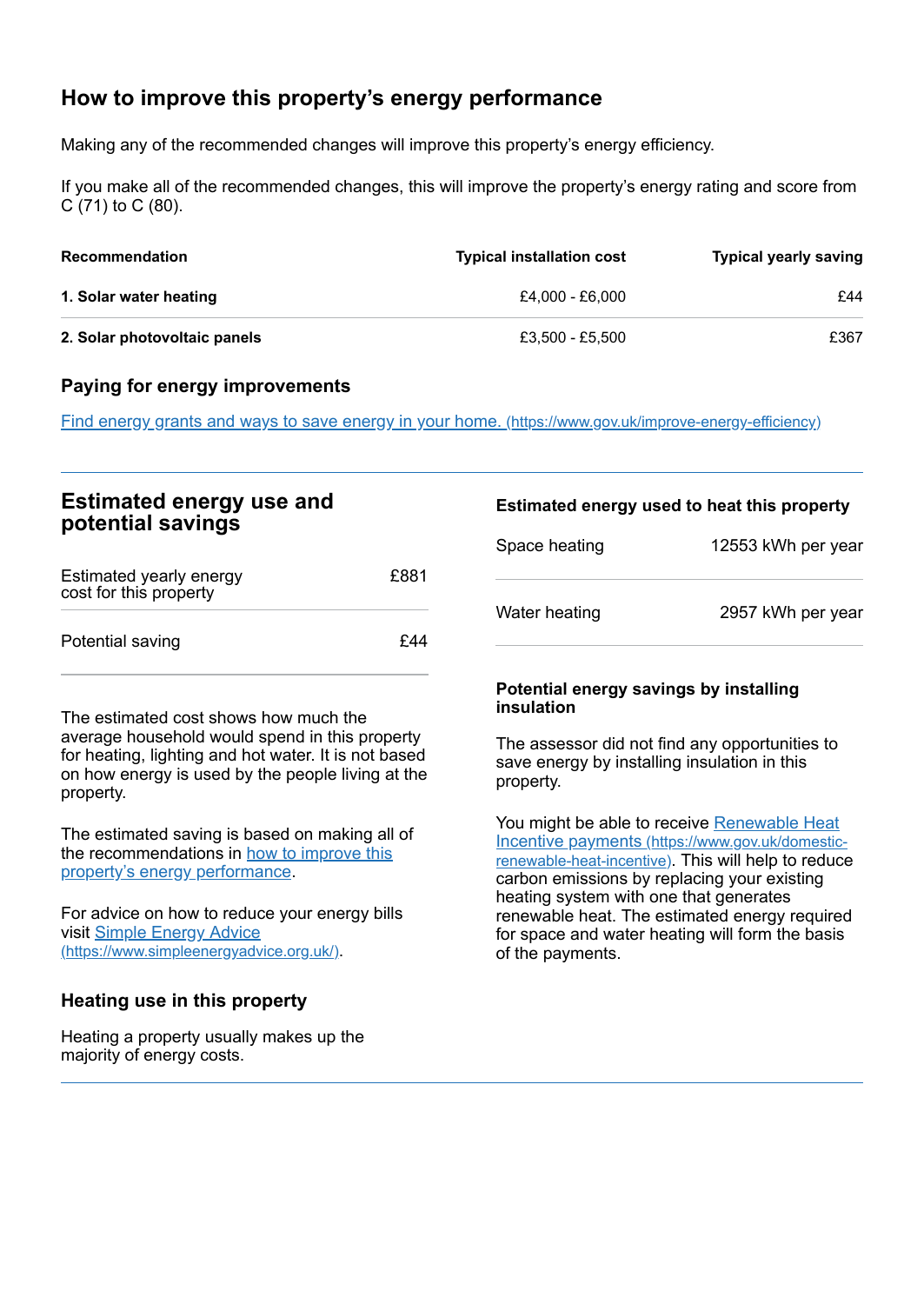# <span id="page-2-0"></span>**How to improve this property's energy performance**

Making any of the recommended changes will improve this property's energy efficiency.

If you make all of the recommended changes, this will improve the property's energy rating and score from C (71) to C (80).

| <b>Recommendation</b>        | <b>Typical installation cost</b> | <b>Typical yearly saving</b> |
|------------------------------|----------------------------------|------------------------------|
| 1. Solar water heating       | £4.000 - £6.000                  | £44                          |
| 2. Solar photovoltaic panels | £3.500 - £5.500                  | £367                         |

#### **Paying for energy improvements**

Find energy grants and ways to save energy in your home. [\(https://www.gov.uk/improve-energy-efficiency\)](https://www.gov.uk/improve-energy-efficiency)

| <b>Estimated energy use and</b><br>potential savings |      | Estimated energy used to heat this property |                    |
|------------------------------------------------------|------|---------------------------------------------|--------------------|
|                                                      |      | Space heating                               | 12553 kWh per year |
| Estimated yearly energy<br>cost for this property    | £881 |                                             |                    |
| Potential saving                                     | £44  | Water heating                               | 2957 kWh per year  |

The estimated cost shows how much the average household would spend in this property for heating, lighting and hot water. It is not based on how energy is used by the people living at the property.

The estimated saving is based on making all of the [recommendations](#page-2-0) in how to improve this property's energy performance.

For advice on how to reduce your energy bills visit Simple Energy Advice [\(https://www.simpleenergyadvice.org.uk/\)](https://www.simpleenergyadvice.org.uk/).

#### **Heating use in this property**

Heating a property usually makes up the majority of energy costs.

#### **Potential energy savings by installing insulation**

The assessor did not find any opportunities to save energy by installing insulation in this property.

You might be able to receive Renewable Heat Incentive payments [\(https://www.gov.uk/domestic](https://www.gov.uk/domestic-renewable-heat-incentive)renewable-heat-incentive). This will help to reduce carbon emissions by replacing your existing heating system with one that generates renewable heat. The estimated energy required for space and water heating will form the basis of the payments.